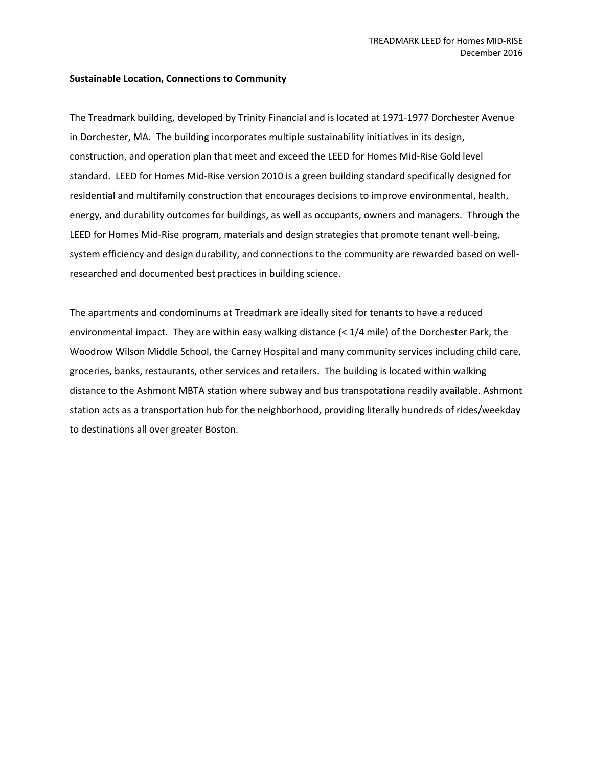## **Sustainable Location, Connections to Community**

The Treadmark building, developed by Trinity Financial and is located at 1971‐1977 Dorchester Avenue in Dorchester, MA. The building incorporates multiple sustainability initiatives in its design, construction, and operation plan that meet and exceed the LEED for Homes Mid‐Rise Gold level standard. LEED for Homes Mid‐Rise version 2010 is a green building standard specifically designed for residential and multifamily construction that encourages decisions to improve environmental, health, energy, and durability outcomes for buildings, as well as occupants, owners and managers. Through the LEED for Homes Mid‐Rise program, materials and design strategies that promote tenant well‐being, system efficiency and design durability, and connections to the community are rewarded based on well‐ researched and documented best practices in building science.

The apartments and condominums at Treadmark are ideally sited for tenants to have a reduced environmental impact. They are within easy walking distance (< 1/4 mile) of the Dorchester Park, the Woodrow Wilson Middle School, the Carney Hospital and many community services including child care, groceries, banks, restaurants, other services and retailers. The building is located within walking distance to the Ashmont MBTA station where subway and bus transpotationa readily available. Ashmont station acts as a transportation hub for the neighborhood, providing literally hundreds of rides/weekday to destinations all over greater Boston.